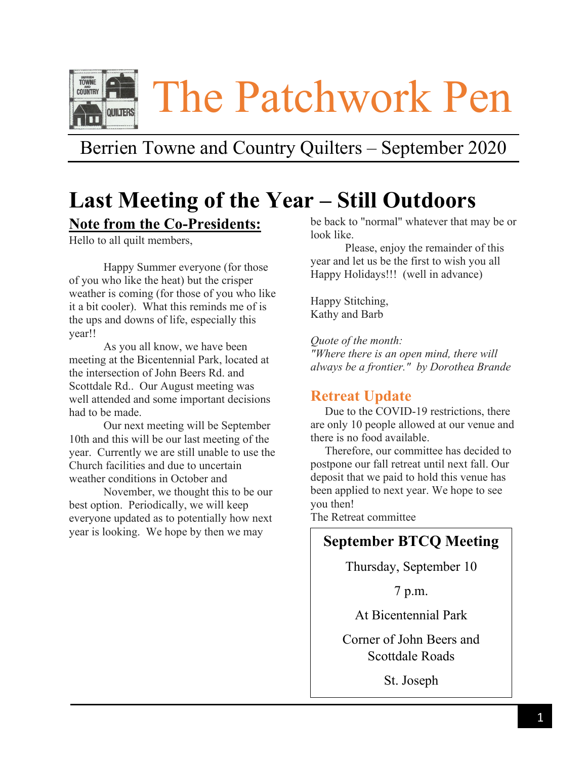

# Berrien Towne and Country Quilters – September 2020

# **Last Meeting of the Year – Still Outdoors Note from the Co-Presidents:**

Hello to all quilt members,

Happy Summer everyone (for those of you who like the heat) but the crisper weather is coming (for those of you who like it a bit cooler). What this reminds me of is the ups and downs of life, especially this year!!

As you all know, we have been meeting at the Bicentennial Park, located at the intersection of John Beers Rd. and Scottdale Rd.. Our August meeting was well attended and some important decisions had to be made.

Our next meeting will be September 10th and this will be our last meeting of the year. Currently we are still unable to use the Church facilities and due to uncertain weather conditions in October and

November, we thought this to be our best option. Periodically, we will keep everyone updated as to potentially how next year is looking. We hope by then we may

be back to "normal" whatever that may be or look like.

Please, enjoy the remainder of this year and let us be the first to wish you all Happy Holidays!!! (well in advance)

Happy Stitching, Kathy and Barb

*Quote of the month: "Where there is an open mind, there will always be a frontier." by Dorothea Brande*

## **Retreat Update**

 Due to the COVID-19 restrictions, there are only 10 people allowed at our venue and there is no food available.

 Therefore, our committee has decided to postpone our fall retreat until next fall. Our deposit that we paid to hold this venue has been applied to next year. We hope to see you then!

The Retreat committee

# **September BTCQ Meeting**

Thursday, September 10

7 p.m.

At Bicentennial Park

Corner of John Beers and Scottdale Roads

St. Joseph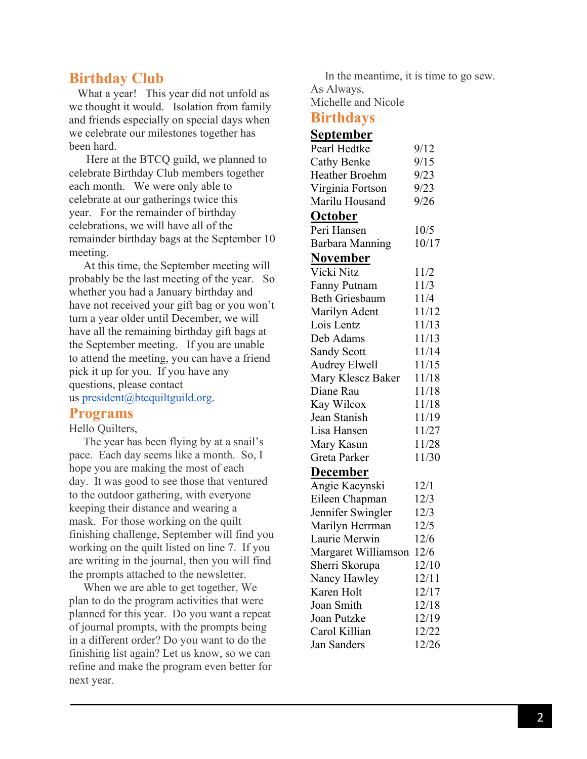# **Birthday Club**

What a year! This year did not unfold as we thought it would. Isolation from family and friends especially on special days when we celebrate our milestones together has been hard.

 Here at the BTCQ guild, we planned to celebrate Birthday Club members together each month. We were only able to celebrate at our gatherings twice this year. For the remainder of birthday celebrations, we will have all of the remainder birthday bags at the September 10 meeting.

 At this time, the September meeting will probably be the last meeting of the year. So whether you had a January birthday and have not received your gift bag or you won't turn a year older until December, we will have all the remaining birthday gift bags at the September meeting. If you are unable to attend the meeting, you can have a friend pick it up for you. If you have any questions, please contact us [president@btcquiltguild.org.](mailto:president@btcqguild.org)

## **Programs**

#### Hello Quilters,

 The year has been flying by at a snail's pace. Each day seems like a month. So, I hope you are making the most of each day. It was good to see those that ventured to the outdoor gathering, with everyone keeping their distance and wearing a mask. For those working on the quilt finishing challenge, September will find you working on the quilt listed on line 7. If you are writing in the journal, then you will find the prompts attached to the newsletter.

 When we are able to get together, We plan to do the program activities that were planned for this year. Do you want a repeat of journal prompts, with the prompts being in a different order? Do you want to do the finishing list again? Let us know, so we can refine and make the program even better for next year.

 In the meantime, it is time to go sew. As Always, Michelle and Nicole

## **Birthdays**

#### **September**

| Pearl Hedtke          | 9/12  |
|-----------------------|-------|
| <b>Cathy Benke</b>    | 9/15  |
| <b>Heather Broehm</b> | 9/23  |
| Virginia Fortson      | 9/23  |
| Marilu Housand        | 9/26  |
| <u>October</u>        |       |
| Peri Hansen           | 10/5  |
| Barbara Manning       | 10/17 |
| <u>November</u>       |       |
| Vicki Nitz            | 11/2  |
| <b>Fanny Putnam</b>   | 11/3  |
| <b>Beth Griesbaum</b> | 11/4  |
| Marilyn Adent         | 11/12 |
| Lois Lentz            | 11/13 |
| Deb Adams             | 11/13 |
| <b>Sandy Scott</b>    | 11/14 |
| Audrey Elwell         | 11/15 |
| Mary Klescz Baker     | 11/18 |
| Diane Rau             | 11/18 |
| Kay Wilcox            | 11/18 |
| Jean Stanish          | 11/19 |
| Lisa Hansen           | 11/27 |
| Mary Kasun            | 11/28 |
| Greta Parker          | 11/30 |
| <u>December</u>       |       |
| Angie Kacynski        | 12/1  |
| Eileen Chapman        | 12/3  |
| Jennifer Swingler     | 12/3  |
| Marilyn Herrman       | 12/5  |
| Laurie Merwin         | 12/6  |
| Margaret Williamson   | 12/6  |
| Sherri Skorupa        | 12/10 |
| Nancy Hawley          | 12/11 |
| Karen Holt            | 12/17 |
| Joan Smith            | 12/18 |
| Joan Putzke           | 12/19 |
| Carol Killian         | 12/22 |
| Jan Sanders           | 12/26 |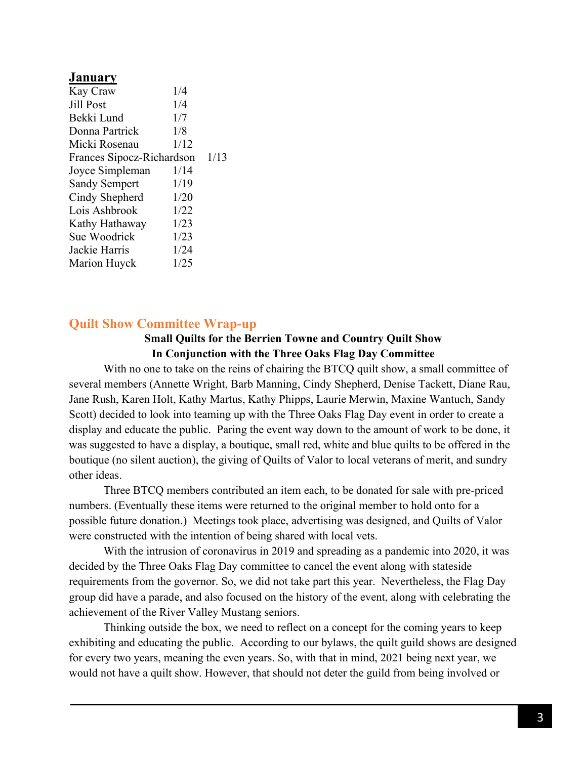#### **January** Kay Craw 1/4 Jill Post  $1/4$ Bekki Lund 1/7 Donna Partrick 1/8 Micki Rosenau 1/12 Frances Sipocz-Richardson 1/13 Joyce Simpleman 1/14 Sandy Sempert 1/19 Cindy Shepherd 1/20 Lois Ashbrook 1/22 Kathy Hathaway 1/23 Sue Woodrick 1/23 Jackie Harris 1/24 Marion Huyck 1/25

## **Quilt Show Committee Wrap-up**

### **Small Quilts for the Berrien Towne and Country Quilt Show In Conjunction with the Three Oaks Flag Day Committee**

With no one to take on the reins of chairing the BTCQ quilt show, a small committee of several members (Annette Wright, Barb Manning, Cindy Shepherd, Denise Tackett, Diane Rau, Jane Rush, Karen Holt, Kathy Martus, Kathy Phipps, Laurie Merwin, Maxine Wantuch, Sandy Scott) decided to look into teaming up with the Three Oaks Flag Day event in order to create a display and educate the public. Paring the event way down to the amount of work to be done, it was suggested to have a display, a boutique, small red, white and blue quilts to be offered in the boutique (no silent auction), the giving of Quilts of Valor to local veterans of merit, and sundry other ideas.

Three BTCQ members contributed an item each, to be donated for sale with pre-priced numbers. (Eventually these items were returned to the original member to hold onto for a possible future donation.) Meetings took place, advertising was designed, and Quilts of Valor were constructed with the intention of being shared with local vets.

With the intrusion of coronavirus in 2019 and spreading as a pandemic into 2020, it was decided by the Three Oaks Flag Day committee to cancel the event along with stateside requirements from the governor. So, we did not take part this year. Nevertheless, the Flag Day group did have a parade, and also focused on the history of the event, along with celebrating the achievement of the River Valley Mustang seniors.

Thinking outside the box, we need to reflect on a concept for the coming years to keep exhibiting and educating the public. According to our bylaws, the quilt guild shows are designed for every two years, meaning the even years. So, with that in mind, 2021 being next year, we would not have a quilt show. However, that should not deter the guild from being involved or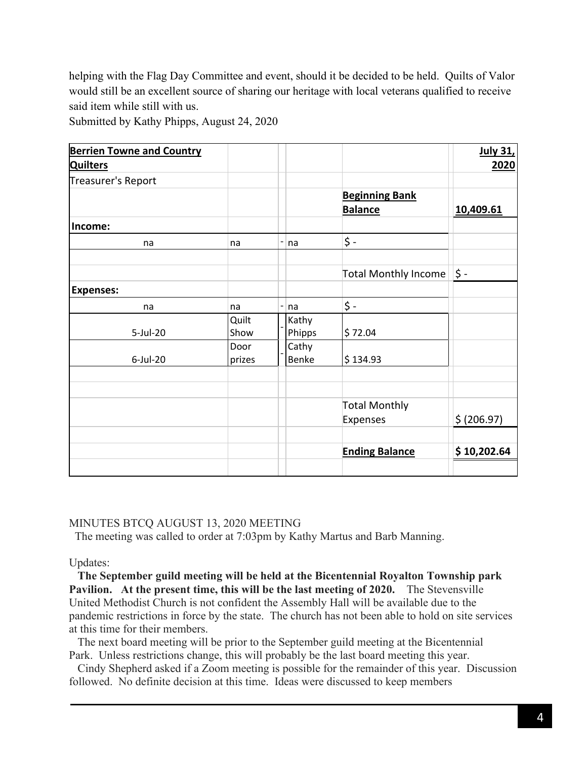helping with the Flag Day Committee and event, should it be decided to be held. Quilts of Valor would still be an excellent source of sharing our heritage with local veterans qualified to receive said item while still with us.

Submitted by Kathy Phipps, August 24, 2020

| <b>Berrien Towne and Country</b> |        |                   |        |                       | <b>July 31,</b> |
|----------------------------------|--------|-------------------|--------|-----------------------|-----------------|
| <b>Quilters</b>                  |        |                   |        |                       | 2020            |
| Treasurer's Report               |        |                   |        |                       |                 |
|                                  |        |                   |        | <b>Beginning Bank</b> |                 |
|                                  |        |                   |        | <b>Balance</b>        | 10,409.61       |
| Income:                          |        |                   |        |                       |                 |
| na                               | na     | $\qquad \qquad -$ | na     | \$ -                  |                 |
|                                  |        |                   |        |                       |                 |
|                                  |        |                   |        | Total Monthly Income  | \$ -            |
| <b>Expenses:</b>                 |        |                   |        |                       |                 |
| na                               | na     | -                 | na     | \$ -                  |                 |
|                                  | Quilt  |                   | Kathy  |                       |                 |
| 5-Jul-20                         | Show   |                   | Phipps | \$72.04               |                 |
|                                  | Door   |                   | Cathy  |                       |                 |
| 6-Jul-20                         | prizes |                   | Benke  | \$134.93              |                 |
|                                  |        |                   |        |                       |                 |
|                                  |        |                   |        |                       |                 |
|                                  |        |                   |        | <b>Total Monthly</b>  |                 |
|                                  |        |                   |        | Expenses              | \$ (206.97)     |
|                                  |        |                   |        |                       |                 |
|                                  |        |                   |        | <b>Ending Balance</b> | \$10,202.64     |
|                                  |        |                   |        |                       |                 |

#### MINUTES BTCQ AUGUST 13, 2020 MEETING

The meeting was called to order at 7:03pm by Kathy Martus and Barb Manning.

Updates:

 **The September guild meeting will be held at the Bicentennial Royalton Township park Pavilion. At the present time, this will be the last meeting of 2020.** The Stevensville United Methodist Church is not confident the Assembly Hall will be available due to the pandemic restrictions in force by the state. The church has not been able to hold on site services at this time for their members.

 The next board meeting will be prior to the September guild meeting at the Bicentennial Park. Unless restrictions change, this will probably be the last board meeting this year.

 Cindy Shepherd asked if a Zoom meeting is possible for the remainder of this year. Discussion followed. No definite decision at this time. Ideas were discussed to keep members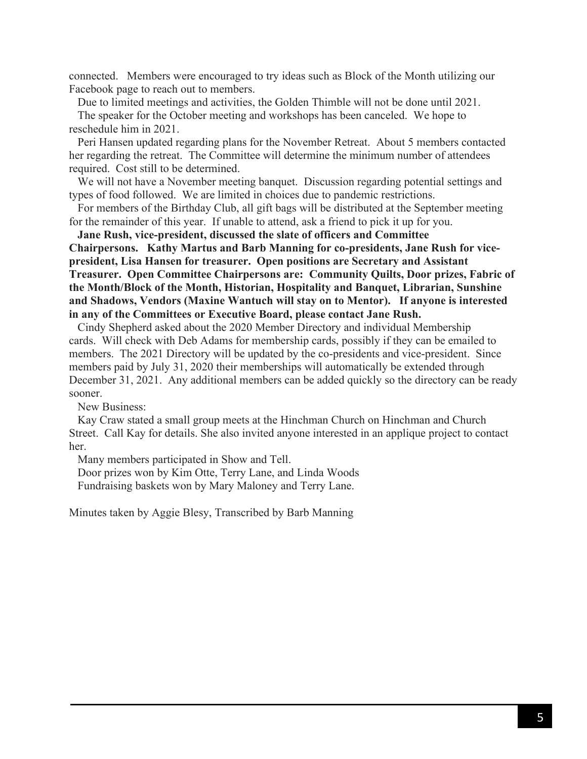connected. Members were encouraged to try ideas such as Block of the Month utilizing our Facebook page to reach out to members.

Due to limited meetings and activities, the Golden Thimble will not be done until 2021.

 The speaker for the October meeting and workshops has been canceled. We hope to reschedule him in 2021.

 Peri Hansen updated regarding plans for the November Retreat. About 5 members contacted her regarding the retreat. The Committee will determine the minimum number of attendees required. Cost still to be determined.

 We will not have a November meeting banquet. Discussion regarding potential settings and types of food followed. We are limited in choices due to pandemic restrictions.

 For members of the Birthday Club, all gift bags will be distributed at the September meeting for the remainder of this year. If unable to attend, ask a friend to pick it up for you.

 **Jane Rush, vice-president, discussed the slate of officers and Committee Chairpersons. Kathy Martus and Barb Manning for co-presidents, Jane Rush for vicepresident, Lisa Hansen for treasurer. Open positions are Secretary and Assistant Treasurer. Open Committee Chairpersons are: Community Quilts, Door prizes, Fabric of the Month/Block of the Month, Historian, Hospitality and Banquet, Librarian, Sunshine and Shadows, Vendors (Maxine Wantuch will stay on to Mentor). If anyone is interested in any of the Committees or Executive Board, please contact Jane Rush.**

 Cindy Shepherd asked about the 2020 Member Directory and individual Membership cards. Will check with Deb Adams for membership cards, possibly if they can be emailed to members. The 2021 Directory will be updated by the co-presidents and vice-president. Since members paid by July 31, 2020 their memberships will automatically be extended through December 31, 2021. Any additional members can be added quickly so the directory can be ready sooner.

New Business:

 Kay Craw stated a small group meets at the Hinchman Church on Hinchman and Church Street. Call Kay for details. She also invited anyone interested in an applique project to contact her.

Many members participated in Show and Tell.

 Door prizes won by Kim Otte, Terry Lane, and Linda Woods Fundraising baskets won by Mary Maloney and Terry Lane.

Minutes taken by Aggie Blesy, Transcribed by Barb Manning